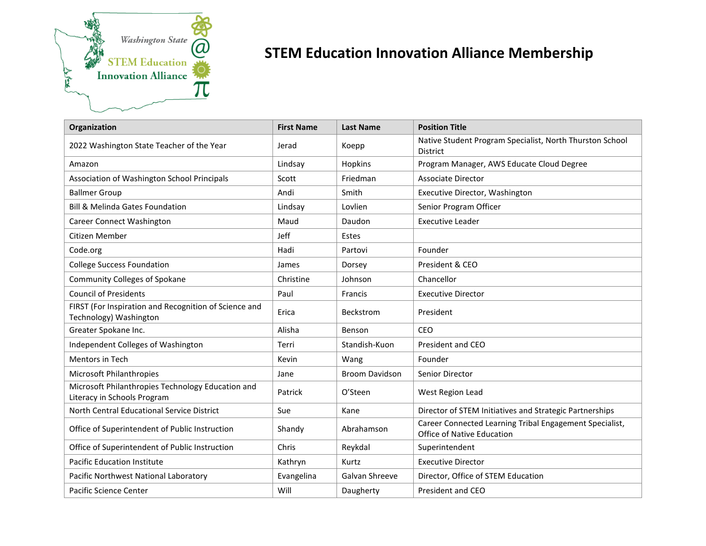

## **STEM Education Innovation Alliance Membership**

| Organization                                                                     | <b>First Name</b> | <b>Last Name</b>      | <b>Position Title</b>                                                                        |
|----------------------------------------------------------------------------------|-------------------|-----------------------|----------------------------------------------------------------------------------------------|
| 2022 Washington State Teacher of the Year                                        | Jerad             | Koepp                 | Native Student Program Specialist, North Thurston School<br><b>District</b>                  |
| Amazon                                                                           | Lindsay           | Hopkins               | Program Manager, AWS Educate Cloud Degree                                                    |
| Association of Washington School Principals                                      | Scott             | Friedman              | <b>Associate Director</b>                                                                    |
| <b>Ballmer Group</b>                                                             | Andi              | Smith                 | Executive Director, Washington                                                               |
| <b>Bill &amp; Melinda Gates Foundation</b>                                       | Lindsay           | Lovlien               | Senior Program Officer                                                                       |
| Career Connect Washington                                                        | Maud              | Daudon                | <b>Executive Leader</b>                                                                      |
| Citizen Member                                                                   | Jeff              | Estes                 |                                                                                              |
| Code.org                                                                         | Hadi              | Partovi               | Founder                                                                                      |
| <b>College Success Foundation</b>                                                | James             | Dorsey                | President & CEO                                                                              |
| <b>Community Colleges of Spokane</b>                                             | Christine         | Johnson               | Chancellor                                                                                   |
| <b>Council of Presidents</b>                                                     | Paul              | Francis               | <b>Executive Director</b>                                                                    |
| FIRST (For Inspiration and Recognition of Science and<br>Technology) Washington  | Erica             | Beckstrom             | President                                                                                    |
| Greater Spokane Inc.                                                             | Alisha            | Benson                | CEO                                                                                          |
| Independent Colleges of Washington                                               | Terri             | Standish-Kuon         | President and CEO                                                                            |
| Mentors in Tech                                                                  | Kevin             | Wang                  | Founder                                                                                      |
| Microsoft Philanthropies                                                         | Jane              | <b>Broom Davidson</b> | Senior Director                                                                              |
| Microsoft Philanthropies Technology Education and<br>Literacy in Schools Program | Patrick           | O'Steen               | West Region Lead                                                                             |
| North Central Educational Service District                                       | Sue               | Kane                  | Director of STEM Initiatives and Strategic Partnerships                                      |
| Office of Superintendent of Public Instruction                                   | Shandy            | Abrahamson            | Career Connected Learning Tribal Engagement Specialist,<br><b>Office of Native Education</b> |
| Office of Superintendent of Public Instruction                                   | Chris             | Reykdal               | Superintendent                                                                               |
| <b>Pacific Education Institute</b>                                               | Kathryn           | Kurtz                 | <b>Executive Director</b>                                                                    |
| Pacific Northwest National Laboratory                                            | Evangelina        | Galvan Shreeve        | Director, Office of STEM Education                                                           |
| Pacific Science Center                                                           | Will              | Daugherty             | President and CEO                                                                            |